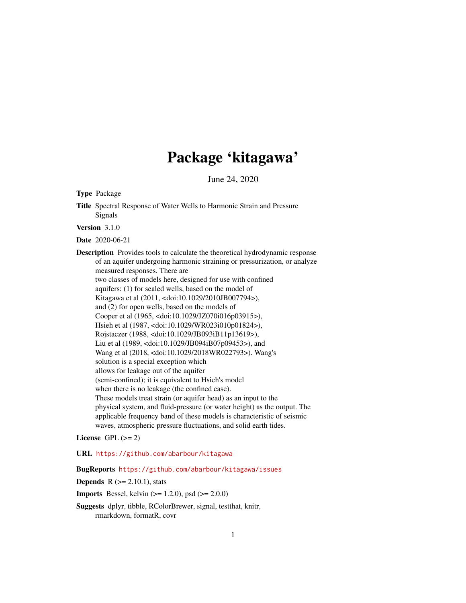# Package 'kitagawa'

June 24, 2020

<span id="page-0-0"></span>Type Package

Title Spectral Response of Water Wells to Harmonic Strain and Pressure Signals

Version 3.1.0

Date 2020-06-21

Description Provides tools to calculate the theoretical hydrodynamic response of an aquifer undergoing harmonic straining or pressurization, or analyze measured responses. There are two classes of models here, designed for use with confined aquifers: (1) for sealed wells, based on the model of Kitagawa et al (2011, <doi:10.1029/2010JB007794>), and (2) for open wells, based on the models of Cooper et al (1965, <doi:10.1029/JZ070i016p03915>), Hsieh et al (1987, <doi:10.1029/WR023i010p01824>), Rojstaczer (1988, <doi:10.1029/JB093iB11p13619>), Liu et al (1989, <doi:10.1029/JB094iB07p09453>), and Wang et al (2018, <doi:10.1029/2018WR022793>). Wang's solution is a special exception which allows for leakage out of the aquifer (semi-confined); it is equivalent to Hsieh's model when there is no leakage (the confined case). These models treat strain (or aquifer head) as an input to the physical system, and fluid-pressure (or water height) as the output. The applicable frequency band of these models is characteristic of seismic waves, atmospheric pressure fluctuations, and solid earth tides.

License GPL  $(>= 2)$ 

URL <https://github.com/abarbour/kitagawa>

BugReports <https://github.com/abarbour/kitagawa/issues>

**Depends**  $R$  ( $>= 2.10.1$ ), stats

**Imports** Bessel, kelvin  $(>= 1.2.0)$ , psd  $(>= 2.0.0)$ 

Suggests dplyr, tibble, RColorBrewer, signal, testthat, knitr, rmarkdown, formatR, covr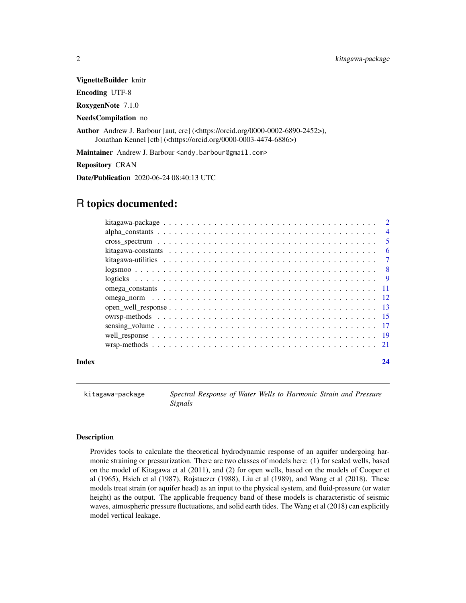<span id="page-1-0"></span>VignetteBuilder knitr

Encoding UTF-8

RoxygenNote 7.1.0

NeedsCompilation no

Author Andrew J. Barbour [aut, cre] (<https://orcid.org/0000-0002-6890-2452>), Jonathan Kennel [ctb] (<https://orcid.org/0000-0003-4474-6886>)

Maintainer Andrew J. Barbour <andy.barbour@gmail.com>

Repository CRAN

Date/Publication 2020-06-24 08:40:13 UTC

# R topics documented:

|       | $\sqrt{5}$ |
|-------|------------|
|       |            |
|       |            |
|       |            |
|       |            |
|       |            |
|       |            |
|       |            |
|       |            |
|       |            |
|       |            |
|       |            |
| Index | 24         |

<span id="page-1-1"></span>kitagawa-package *Spectral Response of Water Wells to Harmonic Strain and Pressure Signals*

# Description

Provides tools to calculate the theoretical hydrodynamic response of an aquifer undergoing harmonic straining or pressurization. There are two classes of models here: (1) for sealed wells, based on the model of Kitagawa et al (2011), and (2) for open wells, based on the models of Cooper et al (1965), Hsieh et al (1987), Rojstaczer (1988), Liu et al (1989), and Wang et al (2018). These models treat strain (or aquifer head) as an input to the physical system, and fluid-pressure (or water height) as the output. The applicable frequency band of these models is characteristic of seismic waves, atmospheric pressure fluctuations, and solid earth tides. The Wang et al (2018) can explicitly model vertical leakage.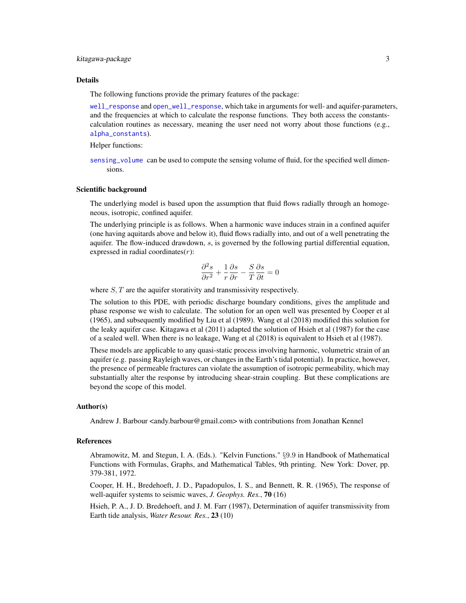#### <span id="page-2-0"></span>kitagawa-package 3

#### Details

The following functions provide the primary features of the package:

[well\\_response](#page-18-1) and [open\\_well\\_response](#page-12-1), which take in arguments for well- and aquifer-parameters, and the frequencies at which to calculate the response functions. They both access the constantscalculation routines as necessary, meaning the user need not worry about those functions (e.g., [alpha\\_constants](#page-3-1)).

Helper functions:

[sensing\\_volume](#page-16-1) can be used to compute the sensing volume of fluid, for the specified well dimensions.

#### Scientific background

The underlying model is based upon the assumption that fluid flows radially through an homogeneous, isotropic, confined aquifer.

The underlying principle is as follows. When a harmonic wave induces strain in a confined aquifer (one having aquitards above and below it), fluid flows radially into, and out of a well penetrating the aquifer. The flow-induced drawdown, s, is governed by the following partial differential equation, expressed in radial coordinates $(r)$ :

$$
\frac{\partial^2 s}{\partial r^2} + \frac{1}{r} \frac{\partial s}{\partial r} - \frac{S}{T} \frac{\partial s}{\partial t} = 0
$$

where  $S, T$  are the aquifer storativity and transmissivity respectively.

The solution to this PDE, with periodic discharge boundary conditions, gives the amplitude and phase response we wish to calculate. The solution for an open well was presented by Cooper et al (1965), and subsequently modified by Liu et al (1989). Wang et al (2018) modified this solution for the leaky aquifer case. Kitagawa et al (2011) adapted the solution of Hsieh et al (1987) for the case of a sealed well. When there is no leakage, Wang et al (2018) is equivalent to Hsieh et al (1987).

These models are applicable to any quasi-static process involving harmonic, volumetric strain of an aquifer (e.g. passing Rayleigh waves, or changes in the Earth's tidal potential). In practice, however, the presence of permeable fractures can violate the assumption of isotropic permeability, which may substantially alter the response by introducing shear-strain coupling. But these complications are beyond the scope of this model.

#### Author(s)

Andrew J. Barbour <andy.barbour@gmail.com> with contributions from Jonathan Kennel

#### References

Abramowitz, M. and Stegun, I. A. (Eds.). "Kelvin Functions." §9.9 in Handbook of Mathematical Functions with Formulas, Graphs, and Mathematical Tables, 9th printing. New York: Dover, pp. 379-381, 1972.

Cooper, H. H., Bredehoeft, J. D., Papadopulos, I. S., and Bennett, R. R. (1965), The response of well-aquifer systems to seismic waves, *J. Geophys. Res.*, 70 (16)

Hsieh, P. A., J. D. Bredehoeft, and J. M. Farr (1987), Determination of aquifer transmissivity from Earth tide analysis, *Water Resour. Res.*, 23 (10)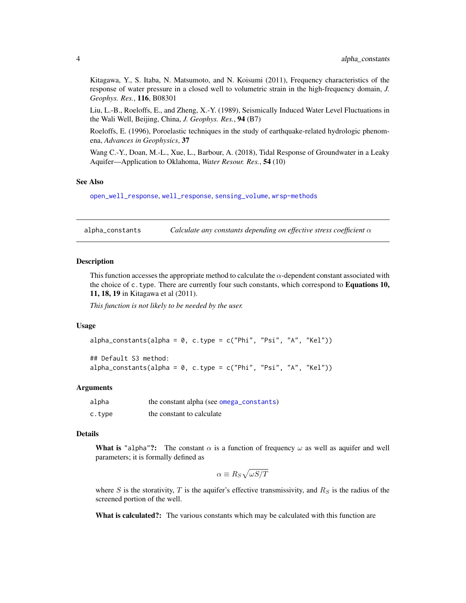<span id="page-3-0"></span>Kitagawa, Y., S. Itaba, N. Matsumoto, and N. Koisumi (2011), Frequency characteristics of the response of water pressure in a closed well to volumetric strain in the high-frequency domain, *J. Geophys. Res.*, 116, B08301

Liu, L.-B., Roeloffs, E., and Zheng, X.-Y. (1989), Seismically Induced Water Level Fluctuations in the Wali Well, Beijing, China, *J. Geophys. Res.*, 94 (B7)

Roeloffs, E. (1996), Poroelastic techniques in the study of earthquake-related hydrologic phenomena, *Advances in Geophysics*, 37

Wang C.-Y., Doan, M.-L., Xue, L., Barbour, A. (2018), Tidal Response of Groundwater in a Leaky Aquifer—Application to Oklahoma, *Water Resour. Res.*, 54 (10)

#### See Also

[open\\_well\\_response](#page-12-1), [well\\_response](#page-18-1), [sensing\\_volume](#page-16-1), [wrsp-methods](#page-20-1)

<span id="page-3-1"></span>alpha\_constants *Calculate any constants depending on effective stress coefficient* α

#### **Description**

This function accesses the appropriate method to calculate the  $\alpha$ -dependent constant associated with the choice of  $c$ . type. There are currently four such constants, which correspond to **Equations 10,** 11, 18, 19 in Kitagawa et al (2011).

*This function is not likely to be needed by the user.*

#### Usage

```
alpha_constants(alpha = 0, c.type = c("Phi", "Psi", "A", "Kel"))
```
## Default S3 method:  $alpha_{\text{constants}}(alpha = 0, c.\text{type} = c("Phi", "Psi", "A", "Kel"))$ 

#### Arguments

| alpha  | the constant alpha (see omega_constants) |
|--------|------------------------------------------|
| c.type | the constant to calculate                |

#### Details

What is "alpha"?: The constant  $\alpha$  is a function of frequency  $\omega$  as well as aquifer and well parameters; it is formally defined as

$$
\alpha \equiv R_S \sqrt{\omega S/T}
$$

where S is the storativity, T is the aquifer's effective transmissivity, and  $R<sub>S</sub>$  is the radius of the screened portion of the well.

What is calculated?: The various constants which may be calculated with this function are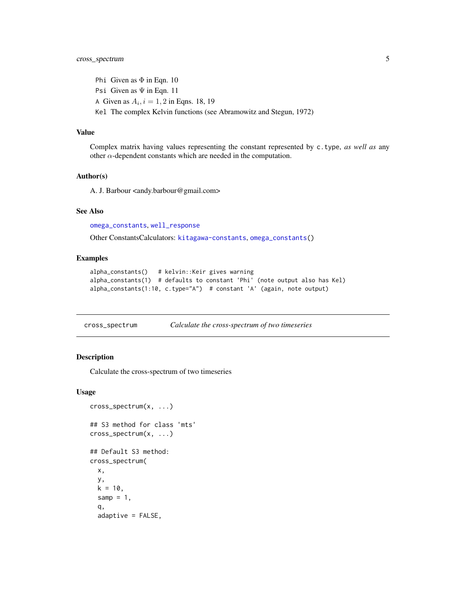# <span id="page-4-0"></span>cross\_spectrum 5

Phi Given as  $\Phi$  in Eqn. 10 Psi Given as  $\Psi$  in Eqn. 11 A Given as  $A_i$ ,  $i = 1, 2$  in Eqns. 18, 19 Kel The complex Kelvin functions (see Abramowitz and Stegun, 1972)

#### Value

Complex matrix having values representing the constant represented by c.type, *as well as* any other  $\alpha$ -dependent constants which are needed in the computation.

#### Author(s)

A. J. Barbour <andy.barbour@gmail.com>

#### See Also

[omega\\_constants](#page-10-1), [well\\_response](#page-18-1)

Other ConstantsCalculators: [kitagawa-constants](#page-5-1), [omega\\_constants\(](#page-10-1))

#### Examples

```
alpha_constants() # kelvin::Keir gives warning
alpha_constants(1) # defaults to constant 'Phi' (note output also has Kel)
alpha_constants(1:10, c.type="A") # constant 'A' (again, note output)
```
cross\_spectrum *Calculate the cross-spectrum of two timeseries*

#### Description

Calculate the cross-spectrum of two timeseries

```
cross_spectrum(x, ...)
## S3 method for class 'mts'
cross_spectrum(x, ...)
## Default S3 method:
cross_spectrum(
  x,
  y,
  k = 10,
  samp = 1,
  q,
  adaptive = FALSE,
```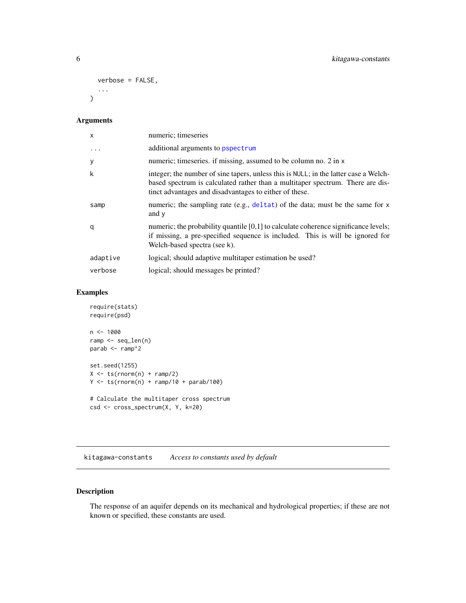```
verbose = FALSE,
   ...
\mathcal{L}
```

| $\times$  | numeric; timeseries                                                                                                                                                                                                              |
|-----------|----------------------------------------------------------------------------------------------------------------------------------------------------------------------------------------------------------------------------------|
| $\ddotsc$ | additional arguments to pspectrum                                                                                                                                                                                                |
| y         | numeric; timeseries. if missing, assumed to be column no. 2 in x                                                                                                                                                                 |
| k         | integer; the number of sine tapers, unless this is NULL; in the latter case a Welch-<br>based spectrum is calculated rather than a multitaper spectrum. There are dis-<br>tinct advantages and disadvantages to either of these. |
| samp      | numeric; the sampling rate (e.g., deltat) of the data; must be the same for x<br>and y                                                                                                                                           |
| q         | numeric; the probability quantile $[0,1]$ to calculate coherence significance levels;<br>if missing, a pre-specified sequence is included. This is will be ignored for<br>Welch-based spectra (see k).                           |
| adaptive  | logical; should adaptive multitaper estimation be used?                                                                                                                                                                          |
| verbose   | logical; should messages be printed?                                                                                                                                                                                             |

# Examples

```
require(stats)
require(psd)
n < -1000ramp <- seq_len(n)
parab <- ramp^2
set.seed(1255)
X \leftarrow ts(rnorm(n) + ramp/2)Y \leftarrow ts(rnorm(n) + ramp/10 + parab/100)# Calculate the multitaper cross spectrum
csd <- cross_spectrum(X, Y, k=20)
```
<span id="page-5-1"></span>kitagawa-constants *Access to constants used by default*

# <span id="page-5-2"></span>Description

The response of an aquifer depends on its mechanical and hydrological properties; if these are not known or specified, these constants are used.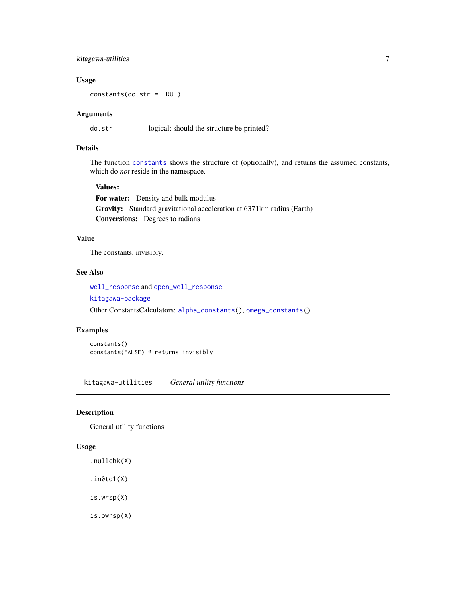# <span id="page-6-0"></span>kitagawa-utilities 7

# Usage

constants(do.str = TRUE)

# Arguments

do.str logical; should the structure be printed?

# Details

The function [constants](#page-5-2) shows the structure of (optionally), and returns the assumed constants, which do *not* reside in the namespace.

#### Values:

For water: Density and bulk modulus Gravity: Standard gravitational acceleration at 6371km radius (Earth) Conversions: Degrees to radians

# Value

The constants, invisibly.

# See Also

[well\\_response](#page-18-1) and [open\\_well\\_response](#page-12-1)

[kitagawa-package](#page-1-1)

Other ConstantsCalculators: [alpha\\_constants\(](#page-3-1)), [omega\\_constants\(](#page-10-1))

#### Examples

constants() constants(FALSE) # returns invisibly

kitagawa-utilities *General utility functions*

# <span id="page-6-1"></span>Description

General utility functions

#### Usage

.nullchk(X)

 $.in0to1(X)$ 

is.wrsp(X)

is.owrsp(X)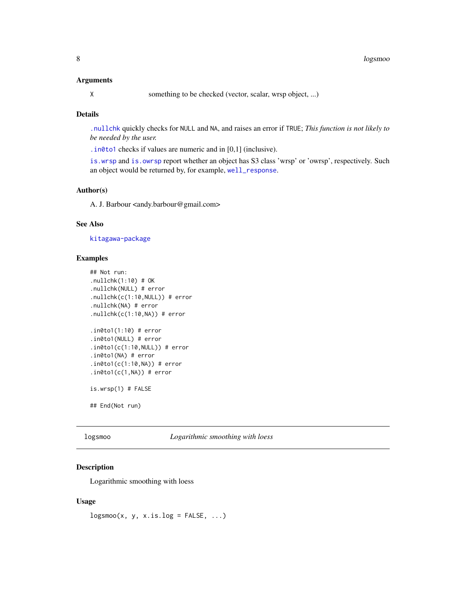<span id="page-7-0"></span>X something to be checked (vector, scalar, wrsp object, ...)

# Details

[.nullchk](#page-6-1) quickly checks for NULL and NA, and raises an error if TRUE; *This function is not likely to be needed by the user.*

[.in0to1](#page-6-1) checks if values are numeric and in [0,1] (inclusive).

[is.wrsp](#page-6-1) and [is.owrsp](#page-6-1) report whether an object has S3 class 'wrsp' or 'owrsp', respectively. Such an object would be returned by, for example, [well\\_response](#page-18-1).

# Author(s)

A. J. Barbour <andy.barbour@gmail.com>

### See Also

[kitagawa-package](#page-1-1)

#### Examples

```
## Not run:
.nullchk(1:10) # OK
.nullchk(NULL) # error
.nullchk(c(1:10,NULL)) # error
.nullchk(NA) # error
.nullchk(c(1:10,NA)) # error
.in0to1(1:10) # error
.in0to1(NULL) # error
.in0to1(c(1:10,NULL)) # error
.in0to1(NA) # error
.in0to1(c(1:10,NA)) # error
.in0to1(c(1,NA)) # error
is.wrsp(1) # FALSE
## End(Not run)
```
logsmoo *Logarithmic smoothing with loess*

# Description

Logarithmic smoothing with loess

#### Usage

 $\log$ smoo $(x, y, x.is.log = FALSE, ...)$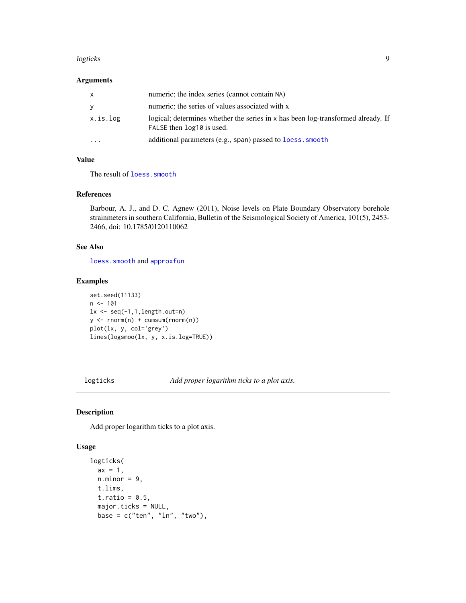#### <span id="page-8-0"></span>logticks 9

# Arguments

| X        | numeric; the index series (cannot contain NA)                                                                 |
|----------|---------------------------------------------------------------------------------------------------------------|
| y        | numeric; the series of values associated with x                                                               |
| x.is.log | logical; determines whether the series in x has been log-transformed already. If<br>FALSE then log10 is used. |
| $\cdot$  | additional parameters (e.g., span) passed to loess. smooth                                                    |

# Value

The result of [loess.smooth](#page-0-0)

#### References

Barbour, A. J., and D. C. Agnew (2011), Noise levels on Plate Boundary Observatory borehole strainmeters in southern California, Bulletin of the Seismological Society of America, 101(5), 2453- 2466, doi: 10.1785/0120110062

# See Also

[loess.smooth](#page-0-0) and [approxfun](#page-0-0)

# Examples

set.seed(11133)  $n < -101$  $lx \leftarrow seq(-1, 1, length.out=n)$  $y \leftarrow \text{norm}(n) + \text{cumsum}(\text{rnorm}(n))$ plot(lx, y, col='grey') lines(logsmoo(lx, y, x.is.log=TRUE))

<span id="page-8-2"></span>logticks *Add proper logarithm ticks to a plot axis.*

#### <span id="page-8-1"></span>Description

Add proper logarithm ticks to a plot axis.

```
logticks(
  ax = 1.
 n.minor = 9,
  t.lims,
  t.ratio = 0.5,
  major.ticks = NULL,
 base = c("ten", "ln", "two"),
```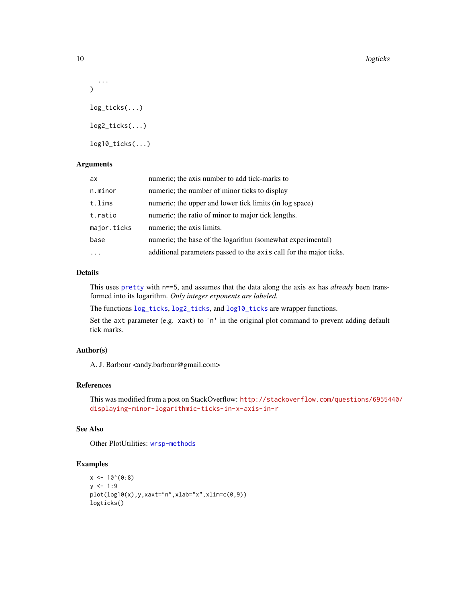```
...
\lambdalog_ticks(...)
log2_ticks(...)
log10_ticks(...)
```

| ax          | numeric; the axis number to add tick-marks to                      |
|-------------|--------------------------------------------------------------------|
| n.minor     | numeric; the number of minor ticks to display                      |
| t.lims      | numeric; the upper and lower tick limits (in log space)            |
| t.ratio     | numeric; the ratio of minor to major tick lengths.                 |
| major.ticks | numeric; the axis limits.                                          |
| base        | numeric; the base of the logarithm (somewhat experimental)         |
|             | additional parameters passed to the axis call for the major ticks. |

# Details

This uses [pretty](#page-0-0) with n==5, and assumes that the data along the axis ax has *already* been transformed into its logarithm. *Only integer exponents are labeled.*

The functions [log\\_ticks](#page-8-1), [log2\\_ticks](#page-8-1), and [log10\\_ticks](#page-8-1) are wrapper functions.

Set the axt parameter (e.g. xaxt) to 'n' in the original plot command to prevent adding default tick marks.

# Author(s)

A. J. Barbour <andy.barbour@gmail.com>

# References

This was modified from a post on StackOverflow: [http://stackoverflow.com/questions/69554](http://stackoverflow.com/questions/6955440/displaying-minor-logarithmic-ticks-in-x-axis-in-r)40/ [displaying-minor-logarithmic-ticks-in-x-axis-in-r](http://stackoverflow.com/questions/6955440/displaying-minor-logarithmic-ticks-in-x-axis-in-r)

#### See Also

Other PlotUtilities: [wrsp-methods](#page-20-1)

# Examples

```
x \le -10^{\circ}(0:8)y \le -1:9plot(log10(x),y,xaxt="n",xlab="x",xlim=c(0,9))
logticks()
```
<span id="page-9-0"></span>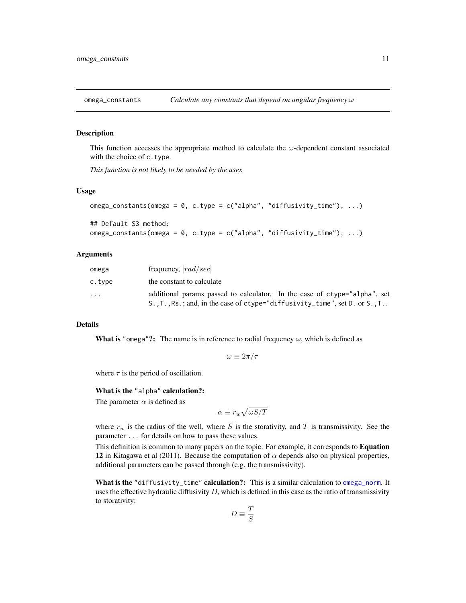<span id="page-10-1"></span><span id="page-10-0"></span>

# **Description**

This function accesses the appropriate method to calculate the  $\omega$ -dependent constant associated with the choice of c.type.

*This function is not likely to be needed by the user.*

#### Usage

```
omega_constants(omega = 0, c.type = c("alpha", "diffusivity_time"), ...)
## Default S3 method:
```

```
omega_constants(omega = 0, c.type = c("alpha", "diffusivity_time"), ...)
```
#### Arguments

| omega  | frequency, $[rad/sec]$                                                                                                                                                                            |
|--------|---------------------------------------------------------------------------------------------------------------------------------------------------------------------------------------------------|
| c.type | the constant to calculate                                                                                                                                                                         |
| .      | additional params passed to calculator. In the case of ctype="alpha", set<br>$S_{\cdot}, T_{\cdot}, R_{\cdot}$ , and, in the case of ctype="diffusivity_time", set D. or $S_{\cdot}, T_{\cdot}$ . |

#### Details

**What is "omega"?:** The name is in reference to radial frequency  $\omega$ , which is defined as

$$
\omega \equiv 2\pi/\tau
$$

where  $\tau$  is the period of oscillation.

# What is the "alpha" calculation?:

The parameter  $\alpha$  is defined as

$$
\alpha \equiv r_w \sqrt{\omega S/T}
$$

where  $r_w$  is the radius of the well, where S is the storativity, and T is transmissivity. See the parameter ... for details on how to pass these values.

This definition is common to many papers on the topic. For example, it corresponds to Equation 12 in Kitagawa et al (2011). Because the computation of  $\alpha$  depends also on physical properties, additional parameters can be passed through (e.g. the transmissivity).

What is the "diffusivity\_time" calculation?: This is a similar calculation to [omega\\_norm](#page-11-1). It uses the effective hydraulic diffusivity  $D$ , which is defined in this case as the ratio of transmissivity to storativity:

$$
D\equiv \frac{T}{S}
$$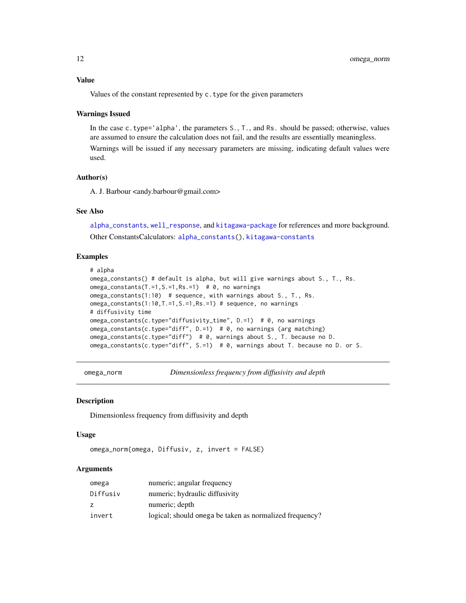# <span id="page-11-0"></span>Value

Values of the constant represented by c.type for the given parameters

#### Warnings Issued

In the case c.type='alpha', the parameters S., T., and Rs. should be passed; otherwise, values are assumed to ensure the calculation does not fail, and the results are essentially meaningless.

Warnings will be issued if any necessary parameters are missing, indicating default values were used.

# Author(s)

A. J. Barbour <andy.barbour@gmail.com>

### See Also

[alpha\\_constants](#page-3-1), [well\\_response](#page-18-1), and [kitagawa-package](#page-1-1) for references and more background. Other ConstantsCalculators: [alpha\\_constants\(](#page-3-1)), [kitagawa-constants](#page-5-1)

### Examples

```
# alpha
omega_constants() # default is alpha, but will give warnings about S., T., Rs.
omega_constants(T.=1,S.=1,Rs.=1) \# 0, no warnings
omega_constants(1:10) # sequence, with warnings about S., T., Rs.
omega_constants(1:10,T.=1,S.=1,Rs.=1) # sequence, no warnings
# diffusivity time
omega_constants(c.type="diffusivity_time", D.=1) # 0, no warnings
omega_constants(c.type="diff", D.=1) # 0, no warnings (arg matching)
omega_constants(c.type="diff") # 0, warnings about S., T. because no D.
omega_constants(c.type="diff", S.=1) # 0, warnings about T. because no D. or S.
```
<span id="page-11-1"></span>omega\_norm *Dimensionless frequency from diffusivity and depth*

#### Description

Dimensionless frequency from diffusivity and depth

#### Usage

```
omega_norm(omega, Diffusiv, z, invert = FALSE)
```
# Arguments

| omega    | numeric; angular frequency                              |
|----------|---------------------------------------------------------|
| Diffusiv | numeric; hydraulic diffusivity                          |
| z        | numeric; depth                                          |
| invert   | logical; should omega be taken as normalized frequency? |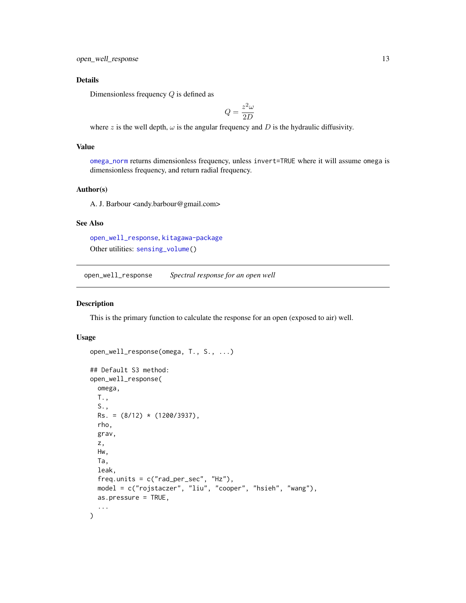# <span id="page-12-0"></span>Details

Dimensionless frequency Q is defined as

$$
Q = \frac{z^2 \omega}{2D}
$$

where z is the well depth,  $\omega$  is the angular frequency and D is the hydraulic diffusivity.

# Value

[omega\\_norm](#page-11-1) returns dimensionless frequency, unless invert=TRUE where it will assume omega is dimensionless frequency, and return radial frequency.

# Author(s)

A. J. Barbour <andy.barbour@gmail.com>

# See Also

[open\\_well\\_response](#page-12-1), [kitagawa-package](#page-1-1) Other utilities: [sensing\\_volume\(](#page-16-1))

<span id="page-12-1"></span>open\_well\_response *Spectral response for an open well*

#### Description

This is the primary function to calculate the response for an open (exposed to air) well.

```
open_well_response(omega, T., S., ...)
## Default S3 method:
open_well_response(
 omega,
 T.,
 S.,
 Rs. = (8/12) * (1200/3937),
 rho,
 grav,
 z,
 Hw,
 Ta,
  leak,
  freq.units = c("rad_per_sec", "Hz"),
 model = c("rojstaczer", "liu", "cooper", "hsieh", "wang"),
 as.pressure = TRUE,
  ...
)
```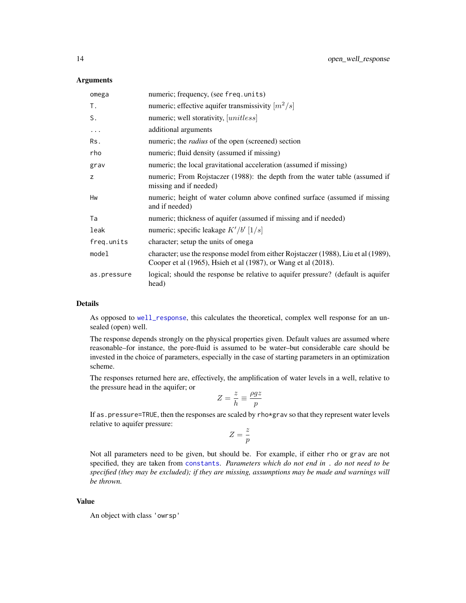<span id="page-13-0"></span>

| omega       | numeric; frequency, (see freq.units)                                                                                                                 |
|-------------|------------------------------------------------------------------------------------------------------------------------------------------------------|
| Τ.          | numeric; effective aquifer transmissivity $\lfloor m^2/s \rfloor$                                                                                    |
| S.          | numeric; well storativity, [unitless]                                                                                                                |
| $\cdots$    | additional arguments                                                                                                                                 |
| Rs.         | numeric; the <i>radius</i> of the open (screened) section                                                                                            |
| rho         | numeric; fluid density (assumed if missing)                                                                                                          |
| grav        | numeric; the local gravitational acceleration (assumed if missing)                                                                                   |
| Z           | numeric; From Rojstaczer (1988): the depth from the water table (assumed if<br>missing and if needed)                                                |
| Hw          | numeric; height of water column above confined surface (assumed if missing<br>and if needed)                                                         |
| Ta          | numeric; thickness of aquifer (assumed if missing and if needed)                                                                                     |
| leak        | numeric; specific leakage $K'/b'$ [1/s]                                                                                                              |
| freq.units  | character; setup the units of omega                                                                                                                  |
| model       | character; use the response model from either Rojstaczer (1988), Liu et al (1989),<br>Cooper et al (1965), Hsieh et al (1987), or Wang et al (2018). |
| as.pressure | logical; should the response be relative to aquifer pressure? (default is aquifer<br>head)                                                           |

#### Details

As opposed to [well\\_response](#page-18-1), this calculates the theoretical, complex well response for an unsealed (open) well.

The response depends strongly on the physical properties given. Default values are assumed where reasonable–for instance, the pore-fluid is assumed to be water–but considerable care should be invested in the choice of parameters, especially in the case of starting parameters in an optimization scheme.

The responses returned here are, effectively, the amplification of water levels in a well, relative to the pressure head in the aquifer; or

$$
Z = \frac{z}{h} \equiv \frac{\rho gz}{p}
$$

If as.pressure=TRUE, then the responses are scaled by rho\*grav so that they represent water levels relative to aquifer pressure:

$$
Z=\frac{z}{p}
$$

Not all parameters need to be given, but should be. For example, if either rho or grav are not specified, they are taken from [constants](#page-5-2). *Parameters which do not end in* . *do not need to be specified (they may be excluded); if they are missing, assumptions may be made and warnings will be thrown.*

# Value

An object with class 'owrsp'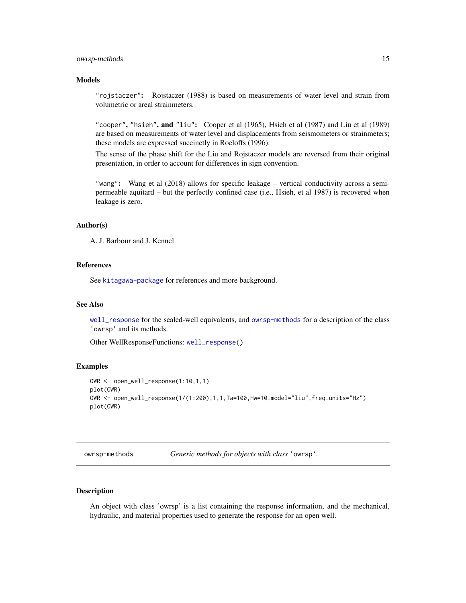#### <span id="page-14-0"></span>owrsp-methods 15

# Models

"rojstaczer": Rojstaczer (1988) is based on measurements of water level and strain from volumetric or areal strainmeters.

"cooper", "hsieh", and "liu": Cooper et al (1965), Hsieh et al (1987) and Liu et al (1989) are based on measurements of water level and displacements from seismometers or strainmeters; these models are expressed succinctly in Roeloffs (1996).

The sense of the phase shift for the Liu and Rojstaczer models are reversed from their original presentation, in order to account for differences in sign convention.

"wang": Wang et al (2018) allows for specific leakage – vertical conductivity across a semipermeable aquitard – but the perfectly confined case (i.e., Hsieh, et al 1987) is recovered when leakage is zero.

# Author(s)

A. J. Barbour and J. Kennel

#### References

See [kitagawa-package](#page-1-1) for references and more background.

#### See Also

[well\\_response](#page-18-1) for the sealed-well equivalents, and [owrsp-methods](#page-14-1) for a description of the class 'owrsp' and its methods.

Other WellResponseFunctions: [well\\_response\(](#page-18-1))

#### Examples

```
OWR <- open_well_response(1:10,1,1)
plot(OWR)
OWR <- open_well_response(1/(1:200),1,1,Ta=100,Hw=10,model="liu",freq.units="Hz")
plot(OWR)
```
<span id="page-14-1"></span>owrsp-methods *Generic methods for objects with class* 'owrsp'*.*

# **Description**

An object with class 'owrsp' is a list containing the response information, and the mechanical, hydraulic, and material properties used to generate the response for an open well.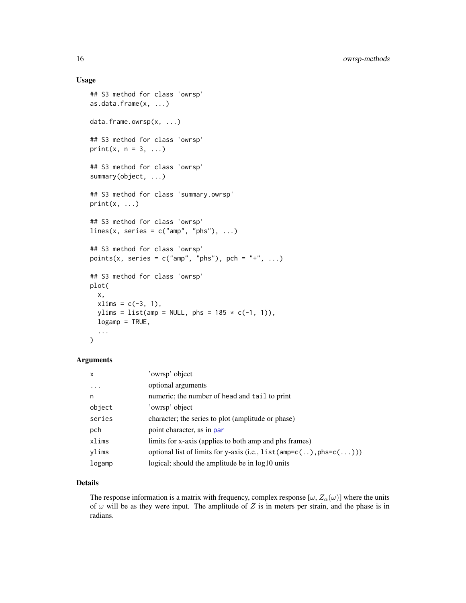# <span id="page-15-0"></span>Usage

```
## S3 method for class 'owrsp'
as.data.frame(x, ...)
data.frame.owrsp(x, ...)
## S3 method for class 'owrsp'
print(x, n = 3, ...)
## S3 method for class 'owrsp'
summary(object, ...)
## S3 method for class 'summary.owrsp'
print(x, ...)
## S3 method for class 'owrsp'
lines(x, series = c("amp", "phs"), ...)
## S3 method for class 'owrsp'
points(x, series = c("amp", "phs"), pch = "+", ...)
## S3 method for class 'owrsp'
plot(
 x,
  xlims = c(-3, 1),ylims = list(amp = NULL, phs = 185 \times c(-1, 1)),
  logamp = TRUE,
  ...
\mathcal{L}
```
# Arguments

| $\mathsf{x}$ | 'owrsp' object                                                        |
|--------------|-----------------------------------------------------------------------|
| .            | optional arguments                                                    |
| n            | numeric; the number of head and tail to print                         |
| object       | 'owrsp' object                                                        |
| series       | character; the series to plot (amplitude or phase)                    |
| pch          | point character, as in par                                            |
| xlims        | limits for x-axis (applies to both amp and phs frames)                |
| ylims        | optional list of limits for y-axis (i.e., $list(amp=c(.),phs=c(.))$ ) |
| logamp       | logical; should the amplitude be in log10 units                       |

# Details

The response information is a matrix with frequency, complex response  $[\omega, Z_{\alpha}(\omega)]$  where the units of  $\omega$  will be as they were input. The amplitude of Z is in meters per strain, and the phase is in radians.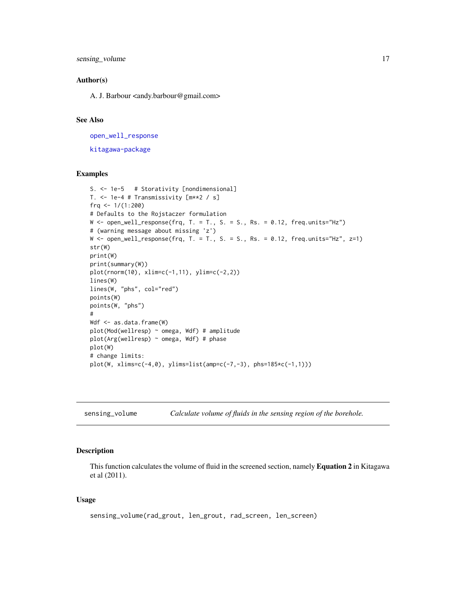<span id="page-16-0"></span>sensing\_volume 17

#### Author(s)

A. J. Barbour <andy.barbour@gmail.com>

# See Also

[open\\_well\\_response](#page-12-1) [kitagawa-package](#page-1-1)

# Examples

```
S. <- 1e-5 # Storativity [nondimensional]
T. <- 1e-4 # Transmissivity [m**2 / s]
frq <- 1/(1:200)
# Defaults to the Rojstaczer formulation
W \leftarrow open\_well\_response(frq, T. = T., S. = S., Rs. = 0.12, freq. units="Hz")# (warning message about missing 'z')
W \le open_well_response(frq, T. = T., S. = S., Rs. = 0.12, freq.units="Hz", z=1)
str(W)
print(W)
print(summary(W))
plot(rnorm(10), xlim=c(-1,11), ylim=c(-2,2))
lines(W)
lines(W, "phs", col="red")
points(W)
points(W, "phs")
#
Wdf <- as.data.frame(W)
plot(Mod(wellresp) ~ omega, Wdf) # amplitude
plot(Arg(wellresp) ~ omega, Wdf) # phase
plot(W)
# change limits:
plot(W, xlims=c(-4,0), ylims=list(amp=c(-7,-3), phs=185*c(-1,1)))
```
<span id="page-16-1"></span>

| sensing_volume | Calculate volume of fluids in the sensing region of the borehole. |  |  |
|----------------|-------------------------------------------------------------------|--|--|
|                |                                                                   |  |  |

#### Description

This function calculates the volume of fluid in the screened section, namely Equation 2 in Kitagawa et al (2011).

```
sensing_volume(rad_grout, len_grout, rad_screen, len_screen)
```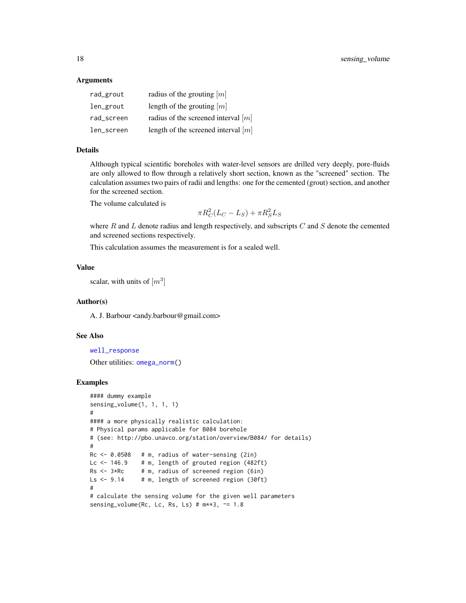| rad_grout  | radius of the grouting $[m]$          |
|------------|---------------------------------------|
| len_grout  | length of the grouting $[m]$          |
| rad_screen | radius of the screened interval $[m]$ |
| len_screen | length of the screened interval $[m]$ |

# Details

Although typical scientific boreholes with water-level sensors are drilled very deeply, pore-fluids are only allowed to flow through a relatively short section, known as the "screened" section. The calculation assumes two pairs of radii and lengths: one for the cemented (grout) section, and another for the screened section.

The volume calculated is

$$
\pi R_C^2 (L_C - L_S) + \pi R_S^2 L_S
$$

where  $R$  and  $L$  denote radius and length respectively, and subscripts  $C$  and  $S$  denote the cemented and screened sections respectively.

This calculation assumes the measurement is for a sealed well.

# Value

scalar, with units of  $[m^3]$ 

#### Author(s)

A. J. Barbour <andy.barbour@gmail.com>

# See Also

[well\\_response](#page-18-1) Other utilities: [omega\\_norm\(](#page-11-1))

#### Examples

```
#### dummy example
sensing_volume(1, 1, 1, 1)
#
#### a more physically realistic calculation:
# Physical params applicable for B084 borehole
# (see: http://pbo.unavco.org/station/overview/B084/ for details)
#
Rc <- 0.0508 # m, radius of water-sensing (2in)
Lc \leftarrow 146.9 # m, length of grouted region (482ft)
Rs < -3*Rc # m, radius of screened region (6in)
Ls <- 9.14 # m, length of screened region (30ft)
#
# calculate the sensing volume for the given well parameters
sensing_volume(Rc, Lc, Rs, Ls) # m**3, \approx 1.8
```
<span id="page-17-0"></span>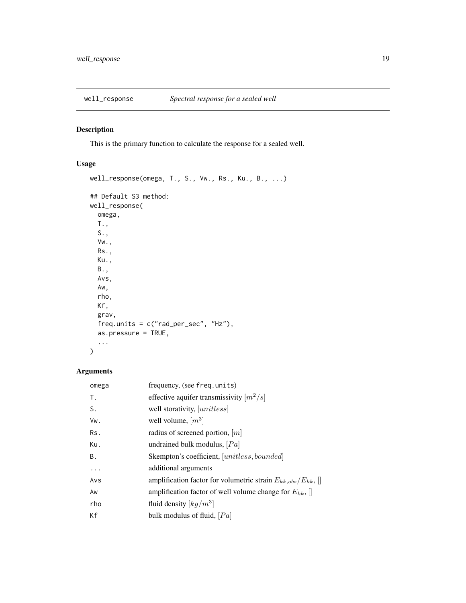<span id="page-18-1"></span><span id="page-18-0"></span>

# Description

This is the primary function to calculate the response for a sealed well.

# Usage

```
well_response(omega, T., S., Vw., Rs., Ku., B., ...)
## Default S3 method:
well_response(
  omega,
  T.,
  S.,
  Vw.,
  Rs.,
  Ku.,
  B.,
  Avs,
  Aw,
  rho,
  Kf,
  grav,
  freq.units = c("rad_per_sec", "Hz"),
  as.pressure = TRUE,
  ...
\overline{\phantom{a}}
```
# Arguments

| omega | frequency, (see freq.units)                                      |
|-------|------------------------------------------------------------------|
| Т.    | effective aquifer transmissivity $[m^2/s]$                       |
| S.    | well storativity, [unitless]                                     |
| Vw.   | well volume, $[m^3]$                                             |
| Rs.   | radius of screened portion, $[m]$                                |
| Ku.   | undrained bulk modulus, $[Pa]$                                   |
| В.    | Skempton's coefficient, [unitless, bounded]                      |
| .     | additional arguments                                             |
| Avs   | amplification factor for volumetric strain $E_{kk,obs}/E_{kk}$ , |
| Aw    | amplification factor of well volume change for $E_{kk}$ ,        |
| rho   | fluid density $\left\lfloor k g / m^3 \right\rfloor$             |
| Кf    | bulk modulus of fluid, $[Pa]$                                    |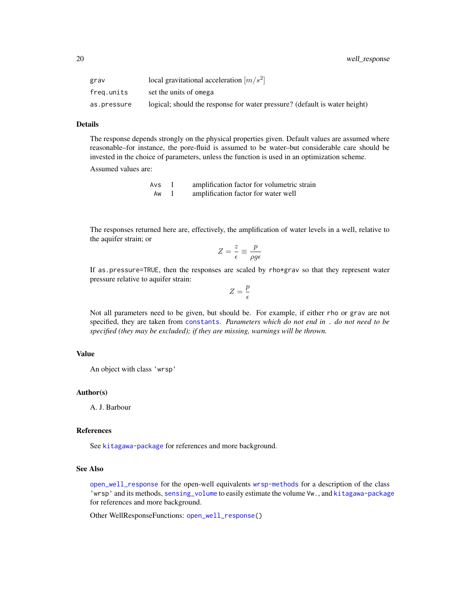<span id="page-19-0"></span>

| grav        | local gravitational acceleration $[m/s^2]$                                 |
|-------------|----------------------------------------------------------------------------|
| frea.units  | set the units of omega                                                     |
| as.pressure | logical; should the response for water pressure? (default is water height) |

#### Details

The response depends strongly on the physical properties given. Default values are assumed where reasonable–for instance, the pore-fluid is assumed to be water–but considerable care should be invested in the choice of parameters, unless the function is used in an optimization scheme.

Assumed values are:

| Avs | amplification factor for volumetric strain |
|-----|--------------------------------------------|
| Aw  | amplification factor for water well        |

The responses returned here are, effectively, the amplification of water levels in a well, relative to the aquifer strain; or

$$
Z = \frac{z}{\epsilon} \equiv \frac{p}{\rho g \epsilon}
$$

If as.pressure=TRUE, then the responses are scaled by rho\*grav so that they represent water pressure relative to aquifer strain:

$$
Z=\frac{p}{\epsilon}
$$

Not all parameters need to be given, but should be. For example, if either rho or grav are not specified, they are taken from [constants](#page-5-2). *Parameters which do not end in* . *do not need to be specified (they may be excluded); if they are missing, warnings will be thrown.*

#### Value

An object with class 'wrsp'

# Author(s)

A. J. Barbour

#### References

See [kitagawa-package](#page-1-1) for references and more background.

# See Also

[open\\_well\\_response](#page-12-1) for the open-well equivalents [wrsp-methods](#page-20-1) for a description of the class 'wrsp' and its methods, [sensing\\_volume](#page-16-1) to easily estimate the volume Vw., and [kitagawa-package](#page-1-1) for references and more background.

Other WellResponseFunctions: [open\\_well\\_response\(](#page-12-1))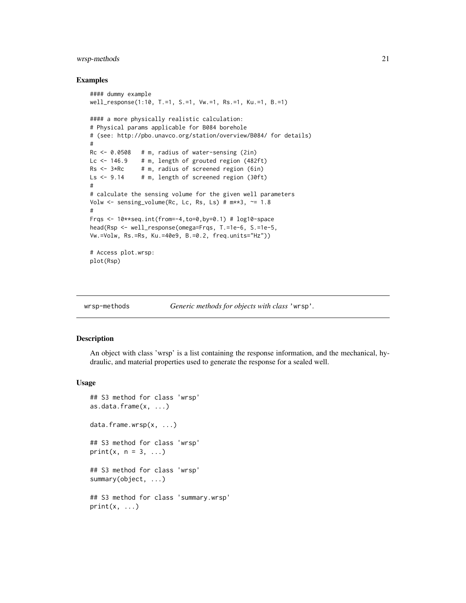# <span id="page-20-0"></span>wrsp-methods 21

#### Examples

```
#### dummy example
well_response(1:10, T.=1, S.=1, Vw.=1, Rs.=1, Ku.=1, B.=1)
#### a more physically realistic calculation:
# Physical params applicable for B084 borehole
# (see: http://pbo.unavco.org/station/overview/B084/ for details)
#
Rc < -0.0508 # m, radius of water-sensing (2in)
Lc <- 146.9 # m, length of grouted region (482ft)
Rs < -3*Rc # m, radius of screened region (6in)
Ls \leftarrow 9.14 # m, length of screened region (30ft)
#
# calculate the sensing volume for the given well parameters
Volw \le sensing_volume(Rc, Lc, Rs, Ls) # m**3, \approx 1.8
#
Frqs \leq 10**seq.int(from=-4,to=0,by=0.1) # log10-space
head(Rsp <- well_response(omega=Frqs, T.=1e-6, S.=1e-5,
Vw.=Volw, Rs.=Rs, Ku.=40e9, B.=0.2, freq.units="Hz"))
# Access plot.wrsp:
plot(Rsp)
```
<span id="page-20-1"></span>

wrsp-methods *Generic methods for objects with class* 'wrsp'*.*

### <span id="page-20-2"></span>Description

An object with class 'wrsp' is a list containing the response information, and the mechanical, hydraulic, and material properties used to generate the response for a sealed well.

```
## S3 method for class 'wrsp'
as.data.frame(x, ...)
data.frame.wrsp(x, ...)
## S3 method for class 'wrsp'
print(x, n = 3, ...)
## S3 method for class 'wrsp'
summary(object, ...)
## S3 method for class 'summary.wrsp'
print(x, \ldots)
```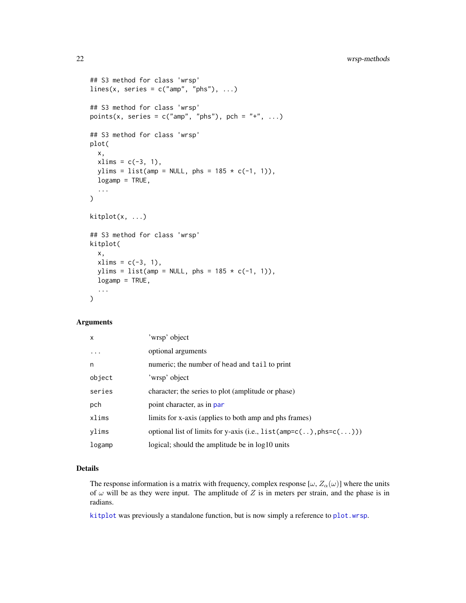```
## S3 method for class 'wrsp'
lines(x, series = c("amp", "phs"), ...)
## S3 method for class 'wrsp'
points(x, series = c("amp", "phs"), pch = "+", ...)## S3 method for class 'wrsp'
plot(
  x,
  xlims = c(-3, 1),ylims = list(amp = NULL, phs = 185 \times c(-1, 1)),
  logamp = TRUE,...
)
kitplot(x, ...)
## S3 method for class 'wrsp'
kitplot(
  x,
 xlims = c(-3, 1),ylims = list(amp = NULL, phs = 185 * c(-1, 1)),
  logamp = TRUE,
  ...
\mathcal{L}
```

| $\mathsf{x}$ | 'wrsp' object                                                              |
|--------------|----------------------------------------------------------------------------|
| $\ddotsc$    | optional arguments                                                         |
| n            | numeric; the number of head and tail to print                              |
| object       | 'wrsp' object                                                              |
| series       | character; the series to plot (amplitude or phase)                         |
| pch          | point character, as in par                                                 |
| xlims        | limits for x-axis (applies to both amp and phs frames)                     |
| ylims        | optional list of limits for y-axis (i.e., $list(amp=c(.))$ , $phs=c(.))$ ) |
| logamp       | logical; should the amplitude be in log10 units                            |

# Details

The response information is a matrix with frequency, complex response  $[\omega, Z_{\alpha}(\omega)]$  where the units of  $\omega$  will be as they were input. The amplitude of Z is in meters per strain, and the phase is in radians.

[kitplot](#page-20-2) was previously a standalone function, but is now simply a reference to [plot.wrsp](#page-20-2).

<span id="page-21-0"></span>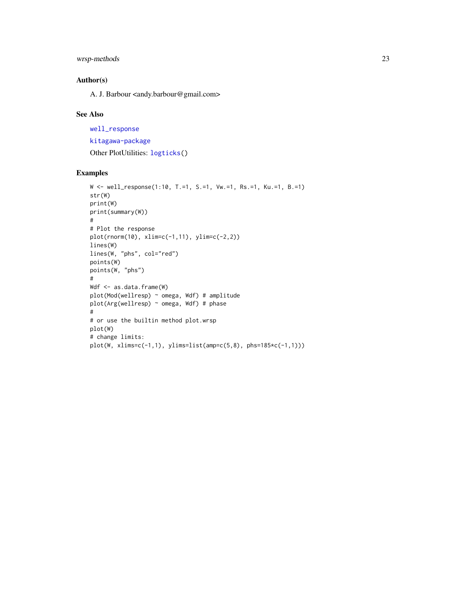# <span id="page-22-0"></span>wrsp-methods 23

# Author(s)

A. J. Barbour <andy.barbour@gmail.com>

# See Also

[well\\_response](#page-18-1) [kitagawa-package](#page-1-1) Other PlotUtilities: [logticks\(](#page-8-2))

# Examples

```
W <- well_response(1:10, T.=1, S.=1, Vw.=1, Rs.=1, Ku.=1, B.=1)
str(W)
print(W)
print(summary(W))
#
# Plot the response
plot(rnorm(10), xlim=c(-1,11), ylim=c(-2,2))
lines(W)
lines(W, "phs", col="red")
points(W)
points(W, "phs")
#
Wdf <- as.data.frame(W)
plot(Mod(wellresp) ~ omega, Wdf) # amplitude
plot(Arg(wellresp) ~ omega, Wdf) # phase
#
# or use the builtin method plot.wrsp
plot(W)
# change limits:
plot(W, xlims=c(-1,1), ylims=list(amp=c(5,8), phs=185*c(-1,1)))
```